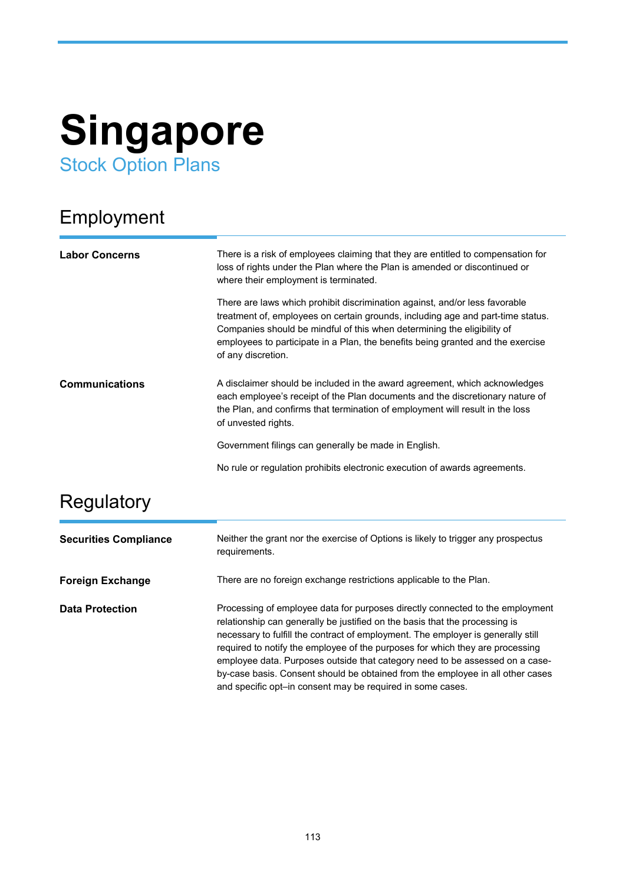# **Singapore** Stock Option Plans

## Employment

| <b>Labor Concerns</b> | There is a risk of employees claiming that they are entitled to compensation for<br>loss of rights under the Plan where the Plan is amended or discontinued or<br>where their employment is terminated.                                                                                                                                            |
|-----------------------|----------------------------------------------------------------------------------------------------------------------------------------------------------------------------------------------------------------------------------------------------------------------------------------------------------------------------------------------------|
|                       | There are laws which prohibit discrimination against, and/or less favorable<br>treatment of, employees on certain grounds, including age and part-time status.<br>Companies should be mindful of this when determining the eligibility of<br>employees to participate in a Plan, the benefits being granted and the exercise<br>of any discretion. |
| <b>Communications</b> | A disclaimer should be included in the award agreement, which acknowledges<br>each employee's receipt of the Plan documents and the discretionary nature of<br>the Plan, and confirms that termination of employment will result in the loss<br>of unvested rights.                                                                                |
|                       | Government filings can generally be made in English.                                                                                                                                                                                                                                                                                               |
|                       | No rule or regulation prohibits electronic execution of awards agreements.                                                                                                                                                                                                                                                                         |

## **Regulatory**

| <b>Securities Compliance</b> | Neither the grant nor the exercise of Options is likely to trigger any prospectus<br>requirements.                                                                                                                                                                                                                                                                                                                                                                                                                                                                |
|------------------------------|-------------------------------------------------------------------------------------------------------------------------------------------------------------------------------------------------------------------------------------------------------------------------------------------------------------------------------------------------------------------------------------------------------------------------------------------------------------------------------------------------------------------------------------------------------------------|
| <b>Foreign Exchange</b>      | There are no foreign exchange restrictions applicable to the Plan.                                                                                                                                                                                                                                                                                                                                                                                                                                                                                                |
| <b>Data Protection</b>       | Processing of employee data for purposes directly connected to the employment<br>relationship can generally be justified on the basis that the processing is<br>necessary to fulfill the contract of employment. The employer is generally still<br>required to notify the employee of the purposes for which they are processing<br>employee data. Purposes outside that category need to be assessed on a case-<br>by-case basis. Consent should be obtained from the employee in all other cases<br>and specific opt-in consent may be required in some cases. |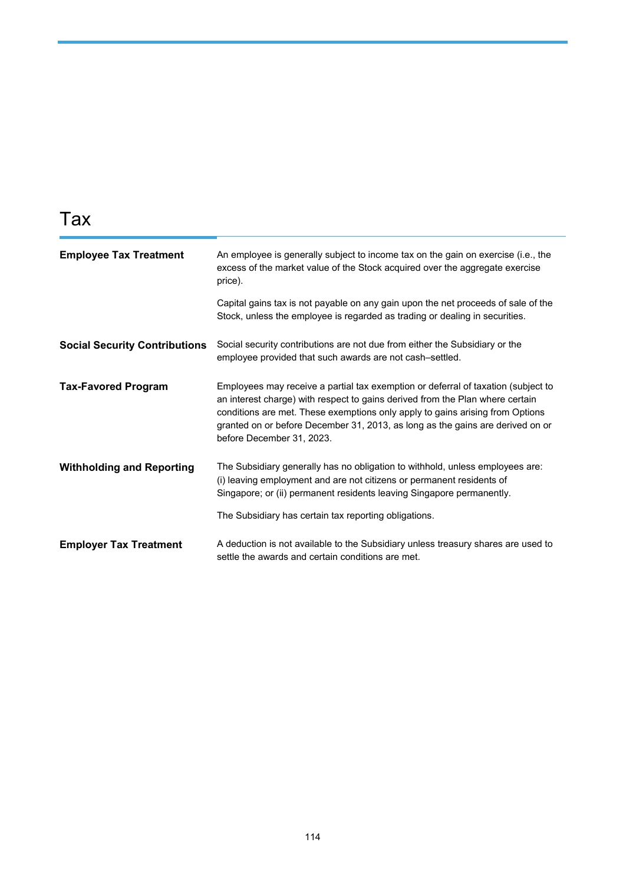## Tax

| <b>Employee Tax Treatment</b>        | An employee is generally subject to income tax on the gain on exercise (i.e., the<br>excess of the market value of the Stock acquired over the aggregate exercise<br>price).                                                                                                                                                                                       |
|--------------------------------------|--------------------------------------------------------------------------------------------------------------------------------------------------------------------------------------------------------------------------------------------------------------------------------------------------------------------------------------------------------------------|
|                                      | Capital gains tax is not payable on any gain upon the net proceeds of sale of the<br>Stock, unless the employee is regarded as trading or dealing in securities.                                                                                                                                                                                                   |
| <b>Social Security Contributions</b> | Social security contributions are not due from either the Subsidiary or the<br>employee provided that such awards are not cash-settled.                                                                                                                                                                                                                            |
| <b>Tax-Favored Program</b>           | Employees may receive a partial tax exemption or deferral of taxation (subject to<br>an interest charge) with respect to gains derived from the Plan where certain<br>conditions are met. These exemptions only apply to gains arising from Options<br>granted on or before December 31, 2013, as long as the gains are derived on or<br>before December 31, 2023. |
| <b>Withholding and Reporting</b>     | The Subsidiary generally has no obligation to withhold, unless employees are:<br>(i) leaving employment and are not citizens or permanent residents of<br>Singapore; or (ii) permanent residents leaving Singapore permanently.                                                                                                                                    |
|                                      | The Subsidiary has certain tax reporting obligations.                                                                                                                                                                                                                                                                                                              |
| <b>Employer Tax Treatment</b>        | A deduction is not available to the Subsidiary unless treasury shares are used to<br>settle the awards and certain conditions are met.                                                                                                                                                                                                                             |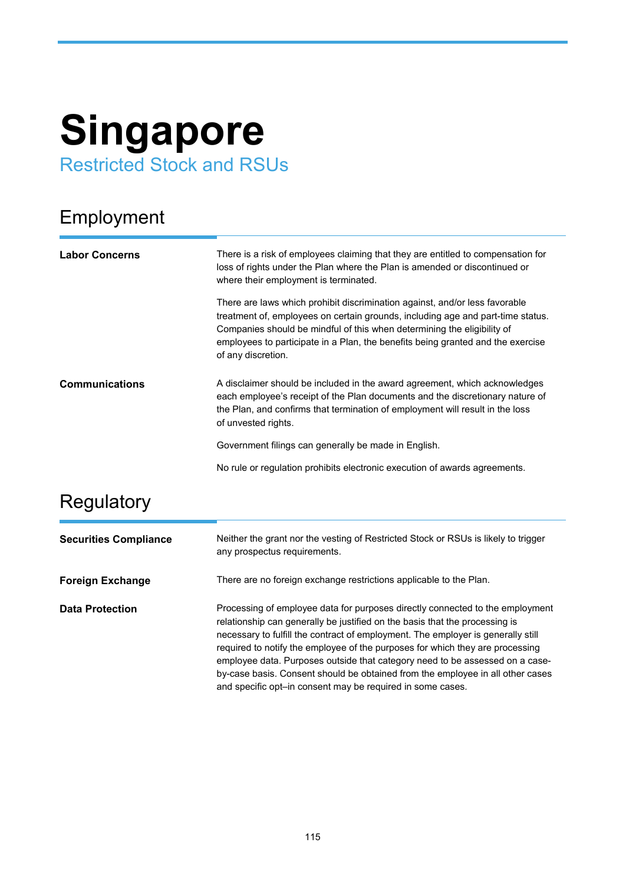# **Singapore** Restricted Stock and RSUs

#### Employment

| <b>Labor Concerns</b> | There is a risk of employees claiming that they are entitled to compensation for<br>loss of rights under the Plan where the Plan is amended or discontinued or<br>where their employment is terminated.                                                                                                                                            |
|-----------------------|----------------------------------------------------------------------------------------------------------------------------------------------------------------------------------------------------------------------------------------------------------------------------------------------------------------------------------------------------|
|                       | There are laws which prohibit discrimination against, and/or less favorable<br>treatment of, employees on certain grounds, including age and part-time status.<br>Companies should be mindful of this when determining the eligibility of<br>employees to participate in a Plan, the benefits being granted and the exercise<br>of any discretion. |
| <b>Communications</b> | A disclaimer should be included in the award agreement, which acknowledges<br>each employee's receipt of the Plan documents and the discretionary nature of<br>the Plan, and confirms that termination of employment will result in the loss<br>of unvested rights.                                                                                |
|                       | Government filings can generally be made in English.                                                                                                                                                                                                                                                                                               |
|                       | No rule or regulation prohibits electronic execution of awards agreements.                                                                                                                                                                                                                                                                         |

#### **Regulatory**

| <b>Securities Compliance</b> | Neither the grant nor the vesting of Restricted Stock or RSUs is likely to trigger<br>any prospectus requirements.                                                                                                                                                                                                                                                                                                                                                                                                                                                |
|------------------------------|-------------------------------------------------------------------------------------------------------------------------------------------------------------------------------------------------------------------------------------------------------------------------------------------------------------------------------------------------------------------------------------------------------------------------------------------------------------------------------------------------------------------------------------------------------------------|
| <b>Foreign Exchange</b>      | There are no foreign exchange restrictions applicable to the Plan.                                                                                                                                                                                                                                                                                                                                                                                                                                                                                                |
| <b>Data Protection</b>       | Processing of employee data for purposes directly connected to the employment<br>relationship can generally be justified on the basis that the processing is<br>necessary to fulfill the contract of employment. The employer is generally still<br>required to notify the employee of the purposes for which they are processing<br>employee data. Purposes outside that category need to be assessed on a case-<br>by-case basis. Consent should be obtained from the employee in all other cases<br>and specific opt-in consent may be required in some cases. |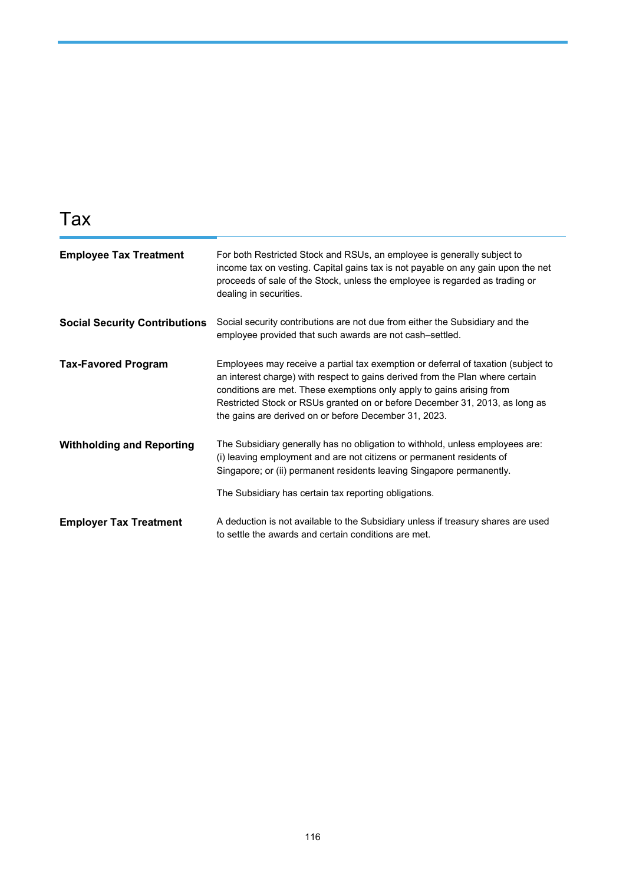## Tax

| <b>Employee Tax Treatment</b>        | For both Restricted Stock and RSUs, an employee is generally subject to<br>income tax on vesting. Capital gains tax is not payable on any gain upon the net<br>proceeds of sale of the Stock, unless the employee is regarded as trading or<br>dealing in securities.                                                                                                               |
|--------------------------------------|-------------------------------------------------------------------------------------------------------------------------------------------------------------------------------------------------------------------------------------------------------------------------------------------------------------------------------------------------------------------------------------|
| <b>Social Security Contributions</b> | Social security contributions are not due from either the Subsidiary and the<br>employee provided that such awards are not cash-settled.                                                                                                                                                                                                                                            |
| <b>Tax-Favored Program</b>           | Employees may receive a partial tax exemption or deferral of taxation (subject to<br>an interest charge) with respect to gains derived from the Plan where certain<br>conditions are met. These exemptions only apply to gains arising from<br>Restricted Stock or RSUs granted on or before December 31, 2013, as long as<br>the gains are derived on or before December 31, 2023. |
| <b>Withholding and Reporting</b>     | The Subsidiary generally has no obligation to withhold, unless employees are:<br>(i) leaving employment and are not citizens or permanent residents of<br>Singapore; or (ii) permanent residents leaving Singapore permanently.                                                                                                                                                     |
|                                      | The Subsidiary has certain tax reporting obligations.                                                                                                                                                                                                                                                                                                                               |
| <b>Employer Tax Treatment</b>        | A deduction is not available to the Subsidiary unless if treasury shares are used<br>to settle the awards and certain conditions are met.                                                                                                                                                                                                                                           |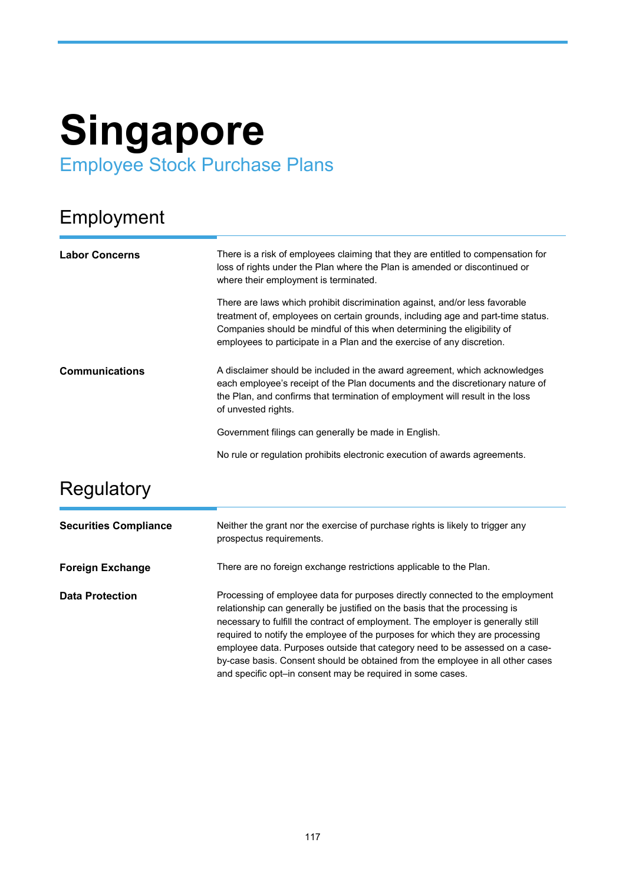# **Singapore** Employee Stock Purchase Plans

## Employment

| <b>Labor Concerns</b> | There is a risk of employees claiming that they are entitled to compensation for<br>loss of rights under the Plan where the Plan is amended or discontinued or<br>where their employment is terminated.                                                                                                             |
|-----------------------|---------------------------------------------------------------------------------------------------------------------------------------------------------------------------------------------------------------------------------------------------------------------------------------------------------------------|
|                       | There are laws which prohibit discrimination against, and/or less favorable<br>treatment of, employees on certain grounds, including age and part-time status.<br>Companies should be mindful of this when determining the eligibility of<br>employees to participate in a Plan and the exercise of any discretion. |
| <b>Communications</b> | A disclaimer should be included in the award agreement, which acknowledges<br>each employee's receipt of the Plan documents and the discretionary nature of<br>the Plan, and confirms that termination of employment will result in the loss<br>of unvested rights.                                                 |
|                       | Government filings can generally be made in English.                                                                                                                                                                                                                                                                |
|                       | No rule or regulation prohibits electronic execution of awards agreements.                                                                                                                                                                                                                                          |

### **Regulatory**

| <b>Securities Compliance</b> | Neither the grant nor the exercise of purchase rights is likely to trigger any<br>prospectus requirements.                                                                                                                                                                                                                                                                                                                                                                                                                                                        |
|------------------------------|-------------------------------------------------------------------------------------------------------------------------------------------------------------------------------------------------------------------------------------------------------------------------------------------------------------------------------------------------------------------------------------------------------------------------------------------------------------------------------------------------------------------------------------------------------------------|
| <b>Foreign Exchange</b>      | There are no foreign exchange restrictions applicable to the Plan.                                                                                                                                                                                                                                                                                                                                                                                                                                                                                                |
| <b>Data Protection</b>       | Processing of employee data for purposes directly connected to the employment<br>relationship can generally be justified on the basis that the processing is<br>necessary to fulfill the contract of employment. The employer is generally still<br>required to notify the employee of the purposes for which they are processing<br>employee data. Purposes outside that category need to be assessed on a case-<br>by-case basis. Consent should be obtained from the employee in all other cases<br>and specific opt-in consent may be required in some cases. |